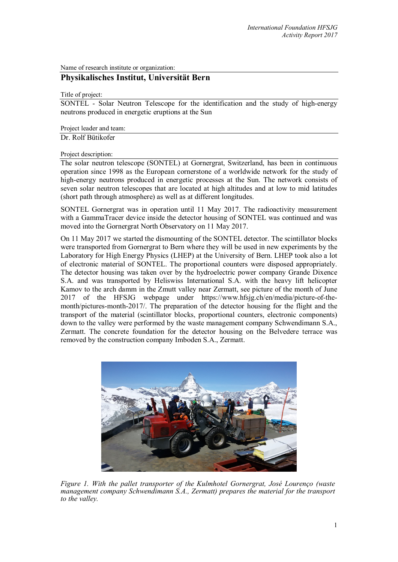Name of research institute or organization:

## **Physikalisches Institut, Universität Bern**

Title of project:

SONTEL - Solar Neutron Telescope for the identification and the study of high-energy neutrons produced in energetic eruptions at the Sun

Project leader and team: Dr. Rolf Bütikofer

Project description:

The solar neutron telescope (SONTEL) at Gornergrat, Switzerland, has been in continuous operation since 1998 as the European cornerstone of a worldwide network for the study of high-energy neutrons produced in energetic processes at the Sun. The network consists of seven solar neutron telescopes that are located at high altitudes and at low to mid latitudes (short path through atmosphere) as well as at different longitudes.

SONTEL Gornergrat was in operation until 11 May 2017. The radioactivity measurement with a GammaTracer device inside the detector housing of SONTEL was continued and was moved into the Gornergrat North Observatory on 11 May 2017.

On 11 May 2017 we started the dismounting of the SONTEL detector. The scintillator blocks were transported from Gornergrat to Bern where they will be used in new experiments by the Laboratory for High Energy Physics (LHEP) at the University of Bern. LHEP took also a lot of electronic material of SONTEL. The proportional counters were disposed appropriately. The detector housing was taken over by the hydroelectric power company Grande Dixence S.A. and was transported by Heliswiss International S.A. with the heavy lift helicopter Kamov to the arch damm in the Zmutt valley near Zermatt, see picture of the month of June 2017 of the HFSJG webpage under https://www.hfsjg.ch/en/media/picture-of-themonth/pictures-month-2017/. The preparation of the detector housing for the flight and the transport of the material (scintillator blocks, proportional counters, electronic components) down to the valley were performed by the waste management company Schwendimann S.A., Zermatt. The concrete foundation for the detector housing on the Belvedere terrace was removed by the construction company Imboden S.A., Zermatt.



*Figure 1. With the pallet transporter of the Kulmhotel Gornergrat, José Lourenço (waste management company Schwendimann S.A., Zermatt) prepares the material for the transport to the valley.*